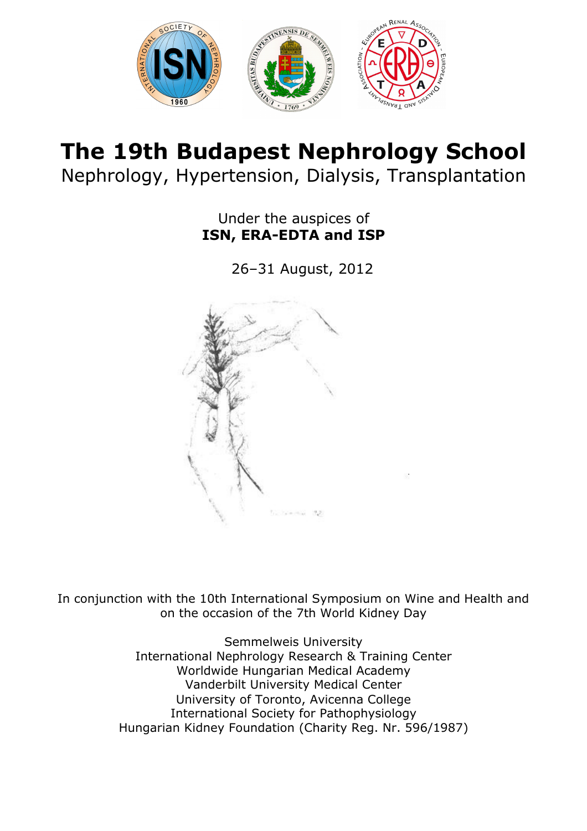

# The 19th Budapest Nephrology School Nephrology, Hypertension, Dialysis, Transplantation

Under the auspices of ISN, ERA-EDTA and ISP

26–31 August, 2012



In conjunction with the 10th International Symposium on Wine and Health and on the occasion of the 7th World Kidney Day

> Semmelweis University International Nephrology Research & Training Center Worldwide Hungarian Medical Academy Vanderbilt University Medical Center University of Toronto, Avicenna College International Society for Pathophysiology Hungarian Kidney Foundation (Charity Reg. Nr. 596/1987)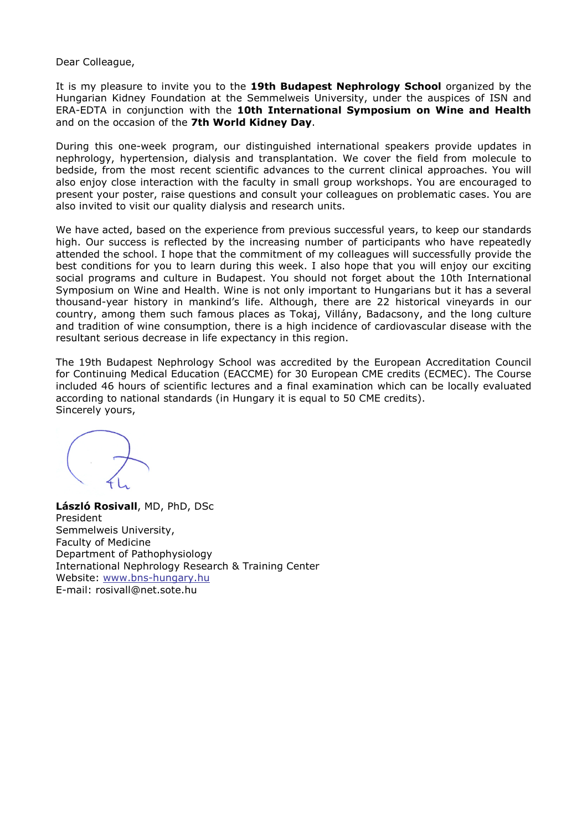Dear Colleague,

It is my pleasure to invite you to the 19th Budapest Nephrology School organized by the Hungarian Kidney Foundation at the Semmelweis University, under the auspices of ISN and ERA-EDTA in conjunction with the 10th International Symposium on Wine and Health and on the occasion of the 7th World Kidney Day.

During this one-week program, our distinguished international speakers provide updates in nephrology, hypertension, dialysis and transplantation. We cover the field from molecule to bedside, from the most recent scientific advances to the current clinical approaches. You will also enjoy close interaction with the faculty in small group workshops. You are encouraged to present your poster, raise questions and consult your colleagues on problematic cases. You are also invited to visit our quality dialysis and research units.

We have acted, based on the experience from previous successful years, to keep our standards high. Our success is reflected by the increasing number of participants who have repeatedly attended the school. I hope that the commitment of my colleagues will successfully provide the best conditions for you to learn during this week. I also hope that you will enjoy our exciting social programs and culture in Budapest. You should not forget about the 10th International Symposium on Wine and Health. Wine is not only important to Hungarians but it has a several thousand-year history in mankind's life. Although, there are 22 historical vineyards in our country, among them such famous places as Tokaj, Villány, Badacsony, and the long culture and tradition of wine consumption, there is a high incidence of cardiovascular disease with the resultant serious decrease in life expectancy in this region.

The 19th Budapest Nephrology School was accredited by the European Accreditation Council for Continuing Medical Education (EACCME) for 30 European CME credits (ECMEC). The Course included 46 hours of scientific lectures and a final examination which can be locally evaluated according to national standards (in Hungary it is equal to 50 CME credits). Sincerely yours,

László Rosivall, MD, PhD, DSc President Semmelweis University, Faculty of Medicine Department of Pathophysiology International Nephrology Research & Training Center Website: www.bns-hungary.hu E-mail: rosivall@net.sote.hu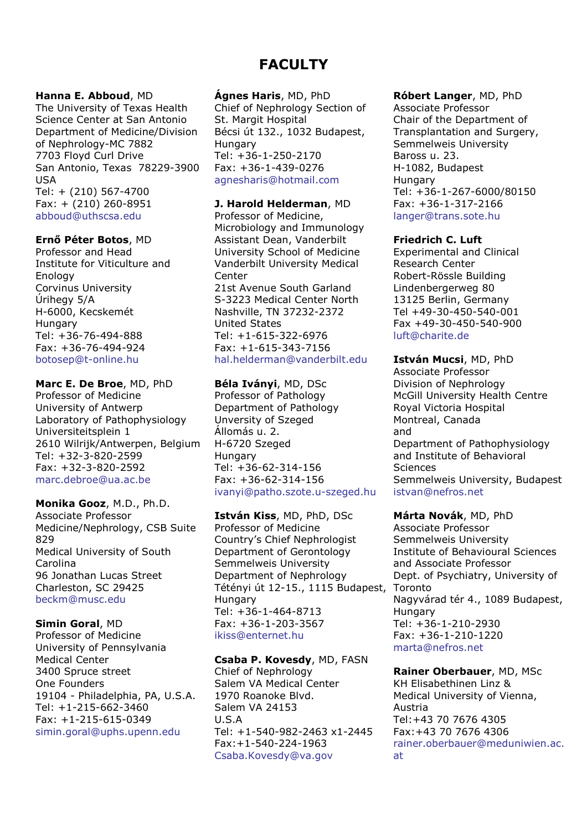# FACULTY

#### Hanna E. Abboud, MD

The University of Texas Health Science Center at San Antonio Department of Medicine/Division of Nephrology-MC 7882 7703 Floyd Curl Drive San Antonio, Texas 78229-3900 USA Tel: + (210) 567-4700 Fax: + (210) 260-8951 abboud@uthscsa.edu

# Ernő Péter Botos, MD

Professor and Head Institute for Viticulture and Enology Corvinus University Úrihegy 5/A H-6000, Kecskemét **Hungary** Tel: +36-76-494-888 Fax: +36-76-494-924 botosep@t-online.hu

## Marc E. De Broe, MD, PhD

Professor of Medicine University of Antwerp Laboratory of Pathophysiology Universiteitsplein 1 2610 Wilrijk/Antwerpen, Belgium Tel: +32-3-820-2599 Fax: +32-3-820-2592 marc.debroe@ua.ac.be

Monika Gooz, M.D., Ph.D. Associate Professor Medicine/Nephrology, CSB Suite 829 Medical University of South Carolina 96 Jonathan Lucas Street Charleston, SC 29425 beckm@musc.edu

# Simin Goral, MD

Professor of Medicine University of Pennsylvania Medical Center 3400 Spruce street One Founders 19104 - Philadelphia, PA, U.S.A. Tel: +1-215-662-3460 Fax: +1-215-615-0349 simin.goral@uphs.upenn.edu

## Ágnes Haris, MD, PhD

Chief of Nephrology Section of St. Margit Hospital Bécsi út 132., 1032 Budapest, **Hungary** Tel: +36-1-250-2170 Fax: +36-1-439-0276 agnesharis@hotmail.com

## J. Harold Helderman, MD

Professor of Medicine, Microbiology and Immunology Assistant Dean, Vanderbilt University School of Medicine Vanderbilt University Medical Center 21st Avenue South Garland S-3223 Medical Center North Nashville, TN 37232-2372 United States Tel: +1-615-322-6976 Fax: +1-615-343-7156 hal.helderman@vanderbilt.edu

#### Béla Iványi, MD, DSc Professor of Pathology Department of Pathology Unversity of Szeged Állomás u. 2. H-6720 Szeged Hungary Tel: +36-62-314-156 Fax: +36-62-314-156 ivanyi@patho.szote.u-szeged.hu

István Kiss, MD, PhD, DSc Professor of Medicine Country's Chief Nephrologist Department of Gerontology Semmelweis University Department of Nephrology Tétényi út 12-15., 1115 Budapest, Hungary Tel: +36-1-464-8713 Fax: +36-1-203-3567 ikiss@enternet.hu

# Csaba P. Kovesdy, MD, FASN

Chief of Nephrology Salem VA Medical Center 1970 Roanoke Blvd. Salem VA 24153 U.S.A Tel: +1-540-982-2463 x1-2445 Fax:+1-540-224-1963 Csaba.Kovesdy@va.gov

# Róbert Langer, MD, PhD

Associate Professor Chair of the Department of Transplantation and Surgery, Semmelweis University Baross u. 23. H-1082, Budapest **Hungary** Tel: +36-1-267-6000/80150 Fax: +36-1-317-2166 langer@trans.sote.hu

# Friedrich C. Luft

Experimental and Clinical Research Center Robert-Rössle Building Lindenbergerweg 80 13125 Berlin, Germany Tel +49-30-450-540-001 Fax +49-30-450-540-900 luft@charite.de

István Mucsi, MD, PhD Associate Professor Division of Nephrology McGill University Health Centre Royal Victoria Hospital Montreal, Canada and Department of Pathophysiology and Institute of Behavioral Sciences Semmelweis University, Budapest istvan@nefros.net

Márta Novák, MD, PhD Associate Professor Semmelweis University Institute of Behavioural Sciences and Associate Professor Dept. of Psychiatry, University of Toronto Nagyvárad tér 4., 1089 Budapest, Hungary Tel: +36-1-210-2930 Fax: +36-1-210-1220 marta@nefros.net

# Rainer Oberbauer, MD, MSc

KH Elisabethinen Linz & Medical University of Vienna, Austria Tel:+43 70 7676 4305 Fax:+43 70 7676 4306 rainer.oberbauer@meduniwien.ac. at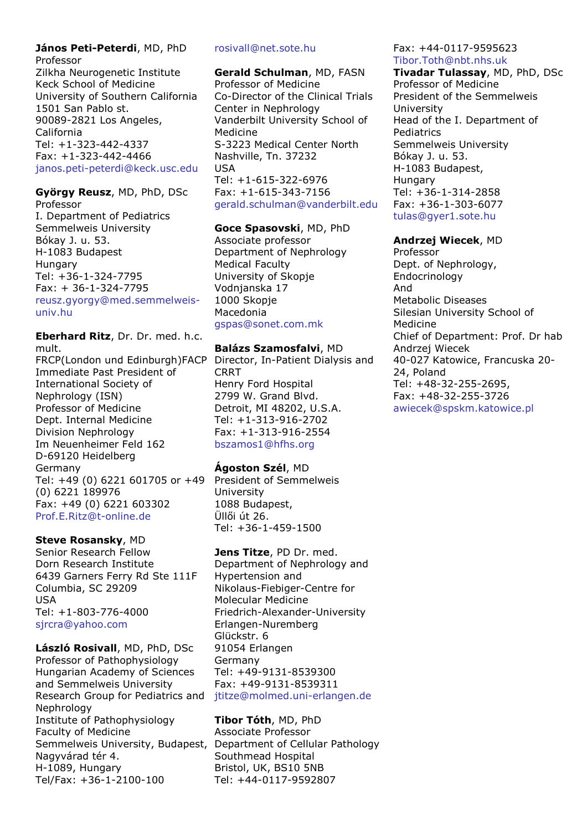#### János Peti-Peterdi, MD, PhD Professor

Zilkha Neurogenetic Institute Keck School of Medicine University of Southern California 1501 San Pablo st. 90089-2821 Los Angeles, California Tel: +1-323-442-4337 Fax: +1-323-442-4466 janos.peti-peterdi@keck.usc.edu

# György Reusz, MD, PhD, DSc

Professor I. Department of Pediatrics Semmelweis University Bókay J. u. 53. H-1083 Budapest Hungary Tel: +36-1-324-7795 Fax: + 36-1-324-7795 reusz.gyorgy@med.semmelweisuniv.hu

Eberhard Ritz, Dr. Dr. med. h.c. mult.

FRCP(London und Edinburgh)FACP Immediate Past President of International Society of Nephrology (ISN) Professor of Medicine Dept. Internal Medicine Division Nephrology Im Neuenheimer Feld 162 D-69120 Heidelberg Germany Tel: +49 (0) 6221 601705 or +49 (0) 6221 189976 Fax: +49 (0) 6221 603302 Prof.E.Ritz@t-online.de

# Steve Rosansky, MD

Senior Research Fellow Dorn Research Institute 6439 Garners Ferry Rd Ste 111F Columbia, SC 29209 USA Tel: +1-803-776-4000 sjrcra@yahoo.com

László Rosivall, MD, PhD, DSc Professor of Pathophysiology Hungarian Academy of Sciences and Semmelweis University Research Group for Pediatrics and Nephrology Institute of Pathophysiology Faculty of Medicine Semmelweis University, Budapest, Department of Cellular Pathology Nagyvárad tér 4. H-1089, Hungary Tel/Fax: +36-1-2100-100

### rosivall@net.sote.hu

Gerald Schulman, MD, FASN Professor of Medicine Co-Director of the Clinical Trials Center in Nephrology Vanderbilt University School of Medicine S-3223 Medical Center North Nashville, Tn. 37232 USA Tel: +1-615-322-6976 Fax: +1-615-343-7156 gerald.schulman@vanderbilt.edu

## Goce Spasovski, MD, PhD

Associate professor Department of Nephrology Medical Faculty University of Skopje Vodnjanska 17 1000 Skopje Macedonia gspas@sonet.com.mk

# Balázs Szamosfalvi, MD

Director, In-Patient Dialysis and **CRRT** Henry Ford Hospital 2799 W. Grand Blvd. Detroit, MI 48202, U.S.A. Tel: +1-313-916-2702 Fax: +1-313-916-2554 bszamos1@hfhs.org

# Ágoston Szél, MD

President of Semmelweis University 1088 Budapest, Üllői út 26. Tel: +36-1-459-1500

# Jens Titze, PD Dr. med.

Department of Nephrology and Hypertension and Nikolaus-Fiebiger-Centre for Molecular Medicine Friedrich-Alexander-University Erlangen-Nuremberg Glückstr. 6 91054 Erlangen Germany Tel: +49-9131-8539300 Fax: +49-9131-8539311 jtitze@molmed.uni-erlangen.de

# Tibor Tóth, MD, PhD Associate Professor Southmead Hospital Bristol, UK, BS10 5NB Tel: +44-0117-9592807

## Fax: +44-0117-9595623 Tibor.Toth@nbt.nhs.uk

Tivadar Tulassay, MD, PhD, DSc Professor of Medicine President of the Semmelweis University Head of the I. Department of Pediatrics Semmelweis University Bókay J. u. 53. H-1083 Budapest, Hungary Tel: +36-1-314-2858 Fax: +36-1-303-6077 tulas@gyer1.sote.hu

## Andrzej Wiecek, MD

Professor Dept. of Nephrology, Endocrinology And Metabolic Diseases Silesian University School of Medicine Chief of Department: Prof. Dr hab Andrzej Wiecek 40-027 Katowice, Francuska 20- 24, Poland Tel: +48-32-255-2695, Fax: +48-32-255-3726 awiecek@spskm.katowice.pl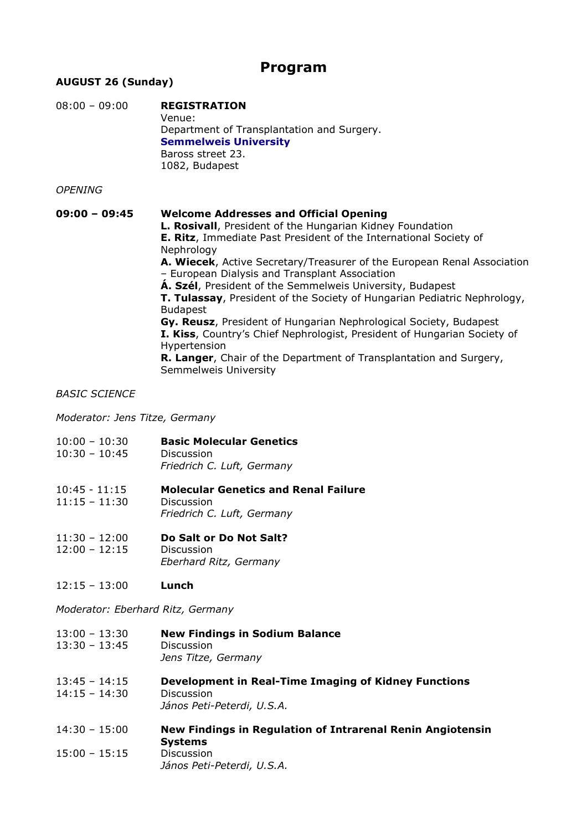# Program

# AUGUST 26 (Sunday)

| $08:00 - 09:00$ | <b>REGISTRATION</b><br>Venue:<br>Department of Transplantation and Surgery.<br><b>Semmelweis University</b><br>Baross street 23.<br>1082, Budapest                                                                                                                                                                                                                                                                                                                                                                                                                                                                                                                                                                                                                             |
|-----------------|--------------------------------------------------------------------------------------------------------------------------------------------------------------------------------------------------------------------------------------------------------------------------------------------------------------------------------------------------------------------------------------------------------------------------------------------------------------------------------------------------------------------------------------------------------------------------------------------------------------------------------------------------------------------------------------------------------------------------------------------------------------------------------|
| <b>OPENING</b>  |                                                                                                                                                                                                                                                                                                                                                                                                                                                                                                                                                                                                                                                                                                                                                                                |
| $09:00 - 09:45$ | <b>Welcome Addresses and Official Opening</b><br><b>L. Rosivall</b> , President of the Hungarian Kidney Foundation<br>E. Ritz, Immediate Past President of the International Society of<br>Nephrology<br>A. Wiecek, Active Secretary/Treasurer of the European Renal Association<br>- European Dialysis and Transplant Association<br>A. Szél, President of the Semmelweis University, Budapest<br><b>T. Tulassay</b> , President of the Society of Hungarian Pediatric Nephrology,<br><b>Budapest</b><br>Gy. Reusz, President of Hungarian Nephrological Society, Budapest<br>I. Kiss, Country's Chief Nephrologist, President of Hungarian Society of<br>Hypertension<br><b>R. Langer</b> , Chair of the Department of Transplantation and Surgery,<br>Semmelweis University |

#### BASIC SCIENCE

Moderator: Jens Titze, Germany

- 10:00 10:30 Basic Molecular Genetics 10:30 – 10:45 Discussion Friedrich C. Luft, Germany
- 10:45 11:15 Molecular Genetics and Renal Failure 11:15 – 11:30 Discussion Friedrich C. Luft, Germany
- 11:30 12:00 Do Salt or Do Not Salt? 12:00 – 12:15 Discussion Eberhard Ritz, Germany
- 12:15 13:00 Lunch

Moderator: Eberhard Ritz, Germany

- 13:00 13:30 New Findings in Sodium Balance 13:30 – 13:45 Discussion Jens Titze, Germany
- 13:45 14:15 Development in Real-Time Imaging of Kidney Functions 14:15 – 14:30 Discussion János Peti-Peterdi, U.S.A.
- 14:30 15:00 New Findings in Regulation of Intrarenal Renin Angiotensin Systems 15:00 – 15:15 Discussion János Peti-Peterdi, U.S.A.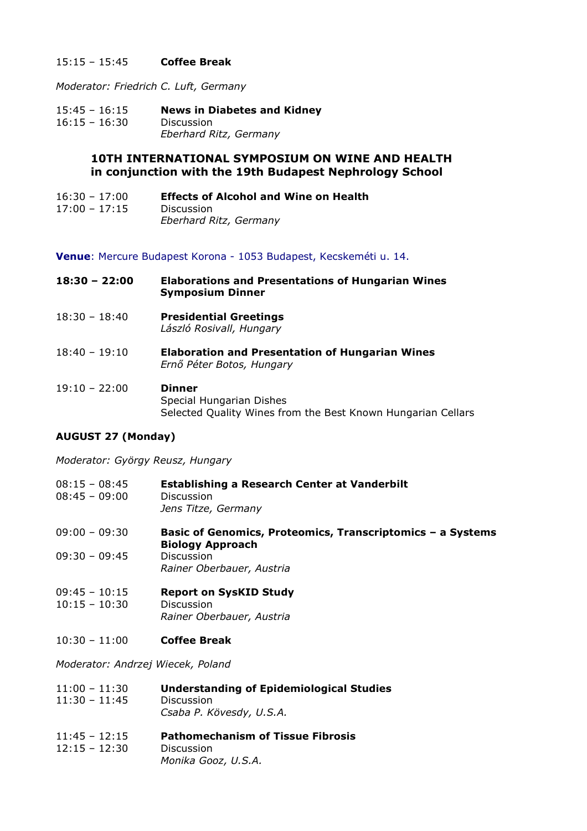## 15:15 – 15:45 Coffee Break

Moderator: Friedrich C. Luft, Germany

15:45 – 16:15 News in Diabetes and Kidney 16:15 – 16:30 Discussion Eberhard Ritz, Germany

# 10TH INTERNATIONAL SYMPOSIUM ON WINE AND HEALTH in conjunction with the 19th Budapest Nephrology School

16:30 – 17:00 Effects of Alcohol and Wine on Health 17:00 – 17:15 Discussion Eberhard Ritz, Germany

Venue: Mercure Budapest Korona - 1053 Budapest, Kecskeméti u. 14.

| $18:30 - 22:00$ | <b>Elaborations and Presentations of Hungarian Wines</b><br><b>Symposium Dinner</b>                       |
|-----------------|-----------------------------------------------------------------------------------------------------------|
| $18:30 - 18:40$ | <b>Presidential Greetings</b><br>László Rosivall, Hungary                                                 |
| $18:40 - 19:10$ | <b>Elaboration and Presentation of Hungarian Wines</b><br>Ernő Péter Botos, Hungary                       |
| $19:10 - 22:00$ | <b>Dinner</b><br>Special Hungarian Dishes<br>Selected Quality Wines from the Best Known Hungarian Cellars |

# AUGUST 27 (Monday)

Moderator: György Reusz, Hungary

| $08:15 - 08:45$<br>$08:45 - 09:00$ | Establishing a Research Center at Vanderbilt<br>Discussion<br>Jens Titze, Germany     |
|------------------------------------|---------------------------------------------------------------------------------------|
| 09:00 - 09:30                      | Basic of Genomics, Proteomics, Transcriptomics - a Systems<br><b>Biology Approach</b> |
| 09:30 - 09:45                      | Discussion<br>Rainer Oberbauer, Austria                                               |
| 09:45 - 10:15                      | <b>Report on SysKID Study</b>                                                         |

- 10:15 10:30 Discussion Rainer Oberbauer, Austria
- 10:30 11:00 Coffee Break

Moderator: Andrzej Wiecek, Poland

| $11:00 - 11:30$ | <b>Understanding of Epidemiological Studies</b> |
|-----------------|-------------------------------------------------|
| $11:30 - 11:45$ | Discussion                                      |
|                 | Csaba P. Kövesdy, U.S.A.                        |

11:45 – 12:15 Pathomechanism of Tissue Fibrosis 12:15 – 12:30 Discussion Monika Gooz, U.S.A.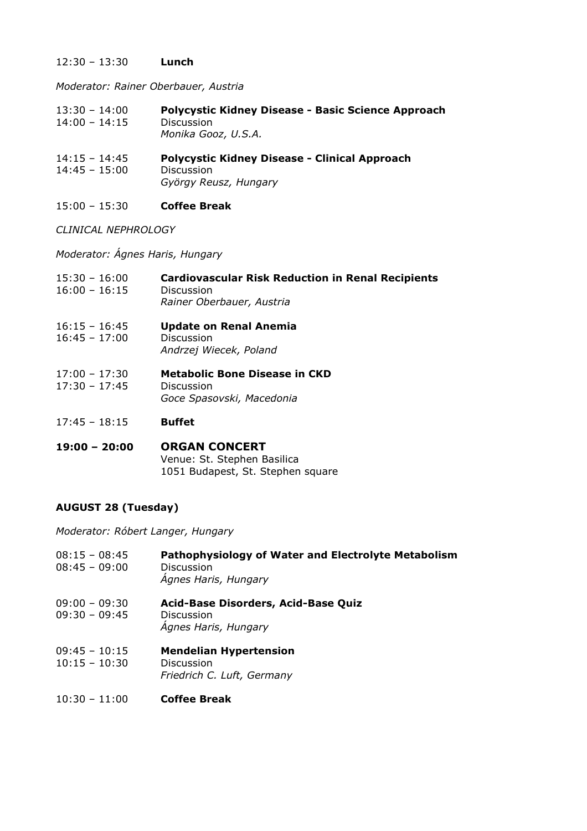## 12:30 – 13:30 Lunch

Moderator: Rainer Oberbauer, Austria

- 13:30 14:00 Polycystic Kidney Disease Basic Science Approach 14:00 – 14:15 Discussion Monika Gooz, U.S.A.
- 14:15 14:45 Polycystic Kidney Disease Clinical Approach 14:45 – 15:00 Discussion György Reusz, Hungary
- 15:00 15:30 Coffee Break

CLINICAL NEPHROLOGY

Moderator: Ágnes Haris, Hungary

| $15:30 - 16:00$<br>$16:00 - 16:15$ | <b>Cardiovascular Risk Reduction in Renal Recipients</b><br>Discussion<br>Rainer Oberbauer, Austria |
|------------------------------------|-----------------------------------------------------------------------------------------------------|
| $16:15 - 16:45$<br>$16:45 - 17:00$ | <b>Update on Renal Anemia</b><br>Discussion<br>Andrzej Wiecek, Poland                               |
| $17:00 - 17:30$<br>$17:30 - 17:45$ | Metabolic Bone Disease in CKD<br>Discussion<br>Goce Spasovski, Macedonia                            |
| $17:45 - 18:15$                    | <b>Buffet</b>                                                                                       |

#### 19:00 – 20:00 ORGAN CONCERT Venue: St. Stephen Basilica 1051 Budapest, St. Stephen square

# AUGUST 28 (Tuesday)

Moderator: Róbert Langer, Hungary

| $08:15 - 08:45$<br>$08:45 - 09:00$ | Pathophysiology of Water and Electrolyte Metabolism<br>Discussion<br>Ágnes Haris, Hungary |
|------------------------------------|-------------------------------------------------------------------------------------------|
| $09:00 - 09:30$<br>$09:30 - 09:45$ | Acid-Base Disorders, Acid-Base Quiz<br>Discussion<br>Agnes Haris, Hungary                 |
| $09:45 - 10:15$<br>$10:15 - 10:30$ | <b>Mendelian Hypertension</b><br>Discussion<br>Friedrich C. Luft, Germany                 |
| $10:30 - 11:00$                    | <b>Coffee Break</b>                                                                       |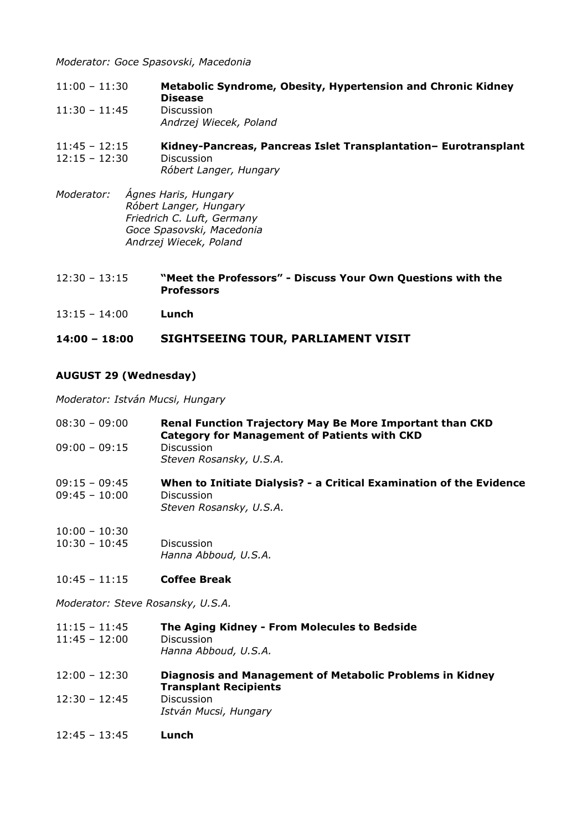Moderator: Goce Spasovski, Macedonia

11:00 – 11:30 Metabolic Syndrome, Obesity, Hypertension and Chronic Kidney Disease 11:30 – 11:45 Discussion Andrzej Wiecek, Poland

#### 11:45 – 12:15 Kidney-Pancreas, Pancreas Islet Transplantation– Eurotransplant 12:15 – 12:30 Discussion Róbert Langer, Hungary

- Moderator: Ágnes Haris, Hungary Róbert Langer, Hungary Friedrich C. Luft, Germany Goce Spasovski, Macedonia Andrzej Wiecek, Poland
- 12:30 13:15 "Meet the Professors" Discuss Your Own Questions with the **Professors**
- 13:15 14:00 Lunch

# 14:00 – 18:00 SIGHTSEEING TOUR, PARLIAMENT VISIT

# AUGUST 29 (Wednesday)

Moderator: István Mucsi, Hungary

| $08:30 - 09:00$                    | <b>Renal Function Trajectory May Be More Important than CKD</b><br><b>Category for Management of Patients with CKD</b> |
|------------------------------------|------------------------------------------------------------------------------------------------------------------------|
| $09:00 - 09:15$                    | <b>Discussion</b><br>Steven Rosansky, U.S.A.                                                                           |
| $09:15 - 09:45$<br>$09:45 - 10:00$ | When to Initiate Dialysis? - a Critical Examination of the Evidence<br><b>Discussion</b><br>Steven Rosansky, U.S.A.    |

- 10:00 10:30 10:30 – 10:45 Discussion Hanna Abboud, U.S.A.
- 10:45 11:15 Coffee Break

Moderator: Steve Rosansky, U.S.A.

- 11:15 11:45 The Aging Kidney From Molecules to Bedside 11:45 – 12:00 Discussion Hanna Abboud, U.S.A.
- 12:00 12:30 Diagnosis and Management of Metabolic Problems in Kidney Transplant Recipients 12:30 – 12:45 Discussion István Mucsi, Hungary
- 12:45 13:45 Lunch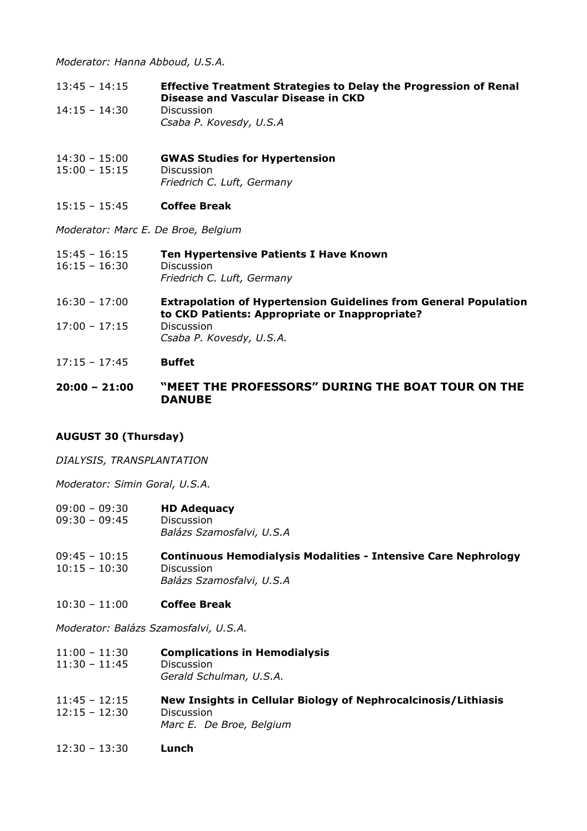Moderator: Hanna Abboud, U.S.A.

- 13:45 14:15 Effective Treatment Strategies to Delay the Progression of Renal Disease and Vascular Disease in CKD 14:15 – 14:30 Discussion
	- Csaba P. Kovesdy, U.S.A
- 14:30 15:00 GWAS Studies for Hypertension 15:00 – 15:15 Discussion Friedrich C. Luft, Germany
- 15:15 15:45 Coffee Break

Moderator: Marc E. De Broe, Belgium

- 15:45 16:15 Ten Hypertensive Patients I Have Known 16:15 – 16:30 Discussion Friedrich C. Luft, Germany
- 16:30 17:00 Extrapolation of Hypertension Guidelines from General Population to CKD Patients: Appropriate or Inappropriate? 17:00 – 17:15 Discussion Csaba P. Kovesdy, U.S.A.
- 17:15 17:45 Buffet
- 20:00 21:00 "MEET THE PROFESSORS" DURING THE BOAT TOUR ON THE DANUBE

# AUGUST 30 (Thursday)

DIALYSIS, TRANSPLANTATION

Moderator: Simin Goral, U.S.A.

- 09:00 09:30 **HD Adequacy** 09:30 – 09:45 Discussion Balázs Szamosfalvi, U.S.A
- 09:45 10:15 Continuous Hemodialysis Modalities Intensive Care Nephrology 10:15 – 10:30 Discussion Balázs Szamosfalvi, U.S.A
- 10:30 11:00 Coffee Break

Moderator: Balázs Szamosfalvi, U.S.A.

- 11:00 11:30 Complications in Hemodialysis 11:30 – 11:45 Discussion Gerald Schulman, U.S.A.
- 11:45 12:15 New Insights in Cellular Biology of Nephrocalcinosis/Lithiasis 12:15 – 12:30 Discussion Marc E. De Broe, Belgium
- 12:30 13:30 Lunch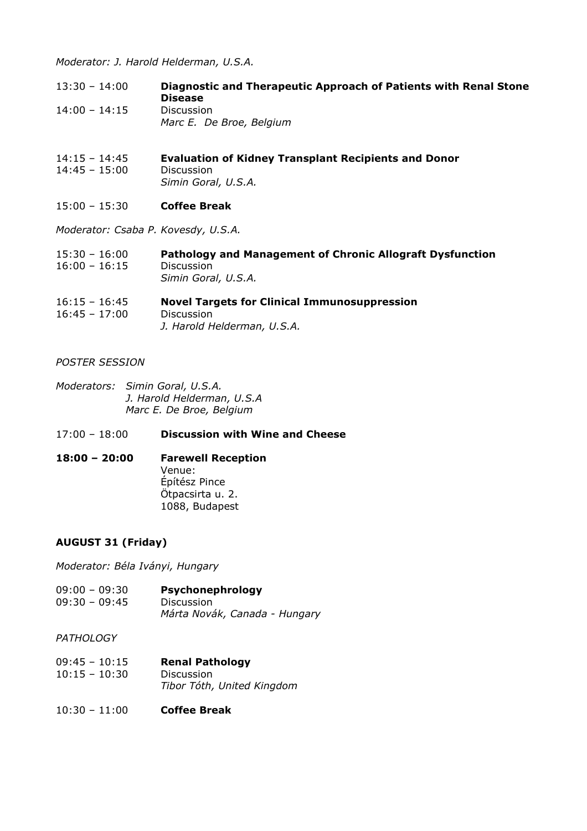Moderator: J. Harold Helderman, U.S.A.

- 13:30 14:00 Diagnostic and Therapeutic Approach of Patients with Renal Stone Disease 14:00 – 14:15 Discussion Marc E. De Broe, Belgium
- 14:15 14:45 Evaluation of Kidney Transplant Recipients and Donor 14:45 – 15:00 Discussion Simin Goral, U.S.A.
- 15:00 15:30 Coffee Break

Moderator: Csaba P. Kovesdy, U.S.A.

| $15:30 - 16:00$ | Pathology and Management of Chronic Allograft Dysfunction |
|-----------------|-----------------------------------------------------------|
| $16:00 - 16:15$ | <b>Discussion</b>                                         |
|                 | Simin Goral, U.S.A.                                       |

#### 16:15 – 16:45 Novel Targets for Clinical Immunosuppression 16:45 – 17:00 Discussion J. Harold Helderman, U.S.A.

## POSTER SESSION

Moderators: Simin Goral, U.S.A. J. Harold Helderman, U.S.A Marc E. De Broe, Belgium

#### 17:00 – 18:00 Discussion with Wine and Cheese

## 18:00 – 20:00 Farewell Reception Venue: Építész Pince Ötpacsirta u. 2. 1088, Budapest

# AUGUST 31 (Friday)

Moderator: Béla Iványi, Hungary

09:00 – 09:30 Psychonephrology 09:30 – 09:45 Discussion Márta Novák, Canada - Hungary

#### **PATHOLOGY**

- 09:45 10:15 Renal Pathology 10:15 – 10:30 Discussion Tibor Tóth, United Kingdom
- 10:30 11:00 Coffee Break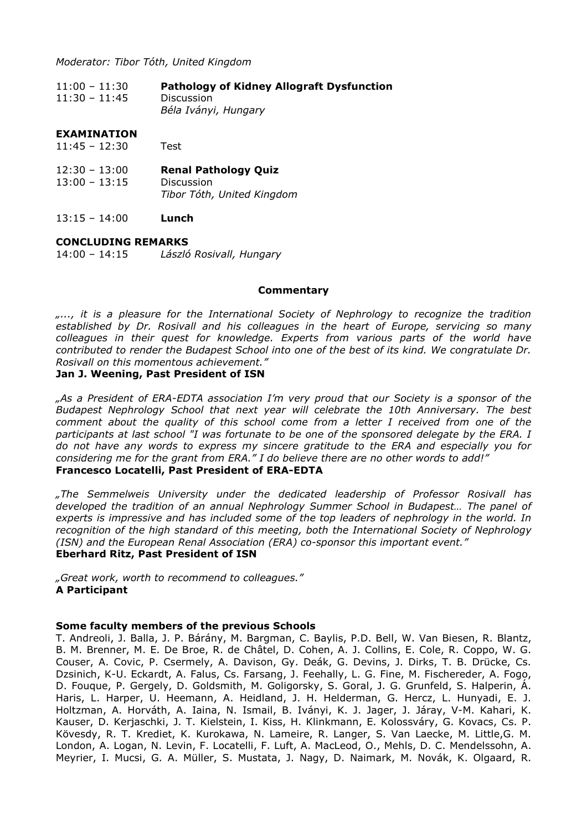Moderator: Tibor Tóth, United Kingdom

| $11:00 - 11:30$ | <b>Pathology of Kidney Allograft Dysfunction</b> |
|-----------------|--------------------------------------------------|
| $11:30 - 11:45$ | Discussion                                       |
|                 | Béla Iványi, Hungary                             |

#### EXAMINATION

- 11:45 12:30 Test
- 12:30 13:00 Renal Pathology Quiz 13:00 – 13:15 Discussion Tibor Tóth, United Kingdom
- $13:15 14:00$  Lunch

# **CONCLUDING REMARKS**<br>14:00 - 14:15 *László*

László Rosivall, Hungary

#### **Commentary**

..., it is a pleasure for the International Society of Nephrology to recognize the tradition established by Dr. Rosivall and his colleagues in the heart of Europe, servicing so many colleagues in their quest for knowledge. Experts from various parts of the world have contributed to render the Budapest School into one of the best of its kind. We congratulate Dr. Rosivall on this momentous achievement."

#### Jan J. Weening, Past President of ISN

"As a President of ERA-EDTA association I'm very proud that our Society is a sponsor of the Budapest Nephrology School that next year will celebrate the 10th Anniversary. The best comment about the quality of this school come from a letter I received from one of the participants at last school "I was fortunate to be one of the sponsored delegate by the ERA. I do not have any words to express my sincere gratitude to the ERA and especially you for considering me for the grant from ERA." I do believe there are no other words to add!" Francesco Locatelli, Past President of ERA-EDTA

"The Semmelweis University under the dedicated leadership of Professor Rosivall has developed the tradition of an annual Nephrology Summer School in Budapest… The panel of experts is impressive and has included some of the top leaders of nephrology in the world. In recognition of the high standard of this meeting, both the International Society of Nephrology (ISN) and the European Renal Association (ERA) co-sponsor this important event." Eberhard Ritz, Past President of ISN

"Great work, worth to recommend to colleagues." A Participant

#### Some faculty members of the previous Schools

T. Andreoli, J. Balla, J. P. Bárány, M. Bargman, C. Baylis, P.D. Bell, W. Van Biesen, R. Blantz, B. M. Brenner, M. E. De Broe, R. de Châtel, D. Cohen, A. J. Collins, E. Cole, R. Coppo, W. G. Couser, A. Covic, P. Csermely, A. Davison, Gy. Deák, G. Devins, J. Dirks, T. B. Drücke, Cs. Dzsinich, K-U. Eckardt, A. Falus, Cs. Farsang, J. Feehally, L. G. Fine, M. Fischereder, A. Fogo, D. Fouque, P. Gergely, D. Goldsmith, M. Goligorsky, S. Goral, J. G. Grunfeld, S. Halperin, Á. Haris, L. Harper, U. Heemann, A. Heidland, J. H. Helderman, G. Hercz, L. Hunyadi, E. J. Holtzman, A. Horváth, A. Iaina, N. Ismail, B. Iványi, K. J. Jager, J. Járay, V-M. Kahari, K. Kauser, D. Kerjaschki, J. T. Kielstein, I. Kiss, H. Klinkmann, E. Kolossváry, G. Kovacs, Cs. P. Kövesdy, R. T. Krediet, K. Kurokawa, N. Lameire, R. Langer, S. Van Laecke, M. Little,G. M. London, A. Logan, N. Levin, F. Locatelli, F. Luft, A. MacLeod, O., Mehls, D. C. Mendelssohn, A. Meyrier, I. Mucsi, G. A. Müller, S. Mustata, J. Nagy, D. Naimark, M. Novák, K. Olgaard, R.